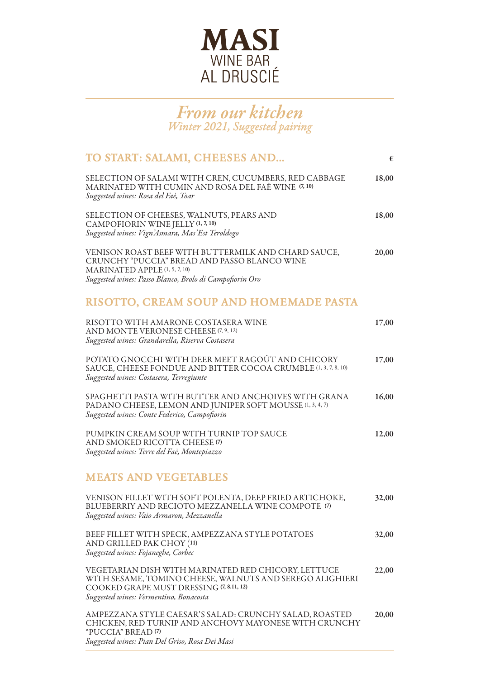

## *From our kitchen Winter 2021, Suggested pairing*

| TO START: SALAMI, CHEESES AND                                                                                                                                                                         | €     |
|-------------------------------------------------------------------------------------------------------------------------------------------------------------------------------------------------------|-------|
| SELECTION OF SALAMI WITH CREN, CUCUMBERS, RED CABBAGE<br>MARINATED WITH CUMIN AND ROSA DEL FAÈ WINE (7, 10)<br>Suggested wines: Rosa del Faè, Toar                                                    | 18,00 |
| SELECTION OF CHEESES, WALNUTS, PEARS AND<br>CAMPOFIORIN WINE JELLY (1, 7, 10)<br>Suggested wines: Vign'Asmara, Mas'Est Teroldego                                                                      | 18,00 |
| VENISON ROAST BEEF WITH BUTTERMILK AND CHARD SAUCE,<br>CRUNCHY "PUCCIA" BREAD AND PASSO BLANCO WINE<br>MARINATED APPLE (1, 5, 7, 10)<br>Suggested wines: Passo Blanco, Brolo di Campofiorin Oro       | 20,00 |
| RISOTTO, CREAM SOUP AND HOMEMADE PASTA                                                                                                                                                                |       |
| RISOTTO WITH AMARONE COSTASERA WINE<br>AND MONTE VERONESE CHEESE (7, 9, 12)<br>Suggested wines: Grandarella, Riserva Costasera                                                                        | 17,00 |
| POTATO GNOCCHI WITH DEER MEET RAGOÛT AND CHICORY<br>SAUCE, CHEESE FONDUE AND BITTER COCOA CRUMBLE (1, 3, 7, 8, 10)<br>Suggested wines: Costasera, Terregiunte                                         | 17,00 |
| SPAGHETTI PASTA WITH BUTTER AND ANCHOIVES WITH GRANA<br>PADANO CHEESE, LEMON AND JUNIPER SOFT MOUSSE (1, 3, 4, 7)<br>Suggested wines: Conte Federico, Campofiorin                                     | 16,00 |
| PUMPKIN CREAM SOUP WITH TURNIP TOP SAUCE<br>AND SMOKED RICOTTA CHEESE (7)<br>Suggested wines: Terre del Faè, Montepiazzo                                                                              | 12,00 |
| <b>MEATS AND VEGETABLES</b>                                                                                                                                                                           |       |
| VENISON FILLET WITH SOFT POLENTA, DEEP FRIED ARTICHOKE,<br>BLUEBERRIY AND RECIOTO MEZZANELLA WINE COMPOTE (7)<br>Suggested wines: Vaio Armaron, Mezzanella                                            | 32,00 |
| BEEF FILLET WITH SPECK, AMPEZZANA STYLE POTATOES<br>AND GRILLED PAK CHOY (11)<br>Suggested wines: Fojaneghe, Corbec                                                                                   | 32,00 |
| VEGETARIAN DISH WITH MARINATED RED CHICORY, LETTUCE<br>WITH SESAME, TOMINO CHEESE, WALNUTS AND SEREGO ALIGHIERI<br>COOKED GRAPE MUST DRESSING (7, 8.11, 12)<br>Suggested wines: Vermentino, Bonacosta | 22,00 |
| AMPEZZANA STYLE CAESAR'S SALAD: CRUNCHY SALAD, ROASTED<br>CHICKEN, RED TURNIP AND ANCHOVY MAYONESE WITH CRUNCHY<br>"PUCCIA" BREAD (7)                                                                 | 20,00 |

*Suggested wines: Pian Del Griso, Rosa Dei Masi*